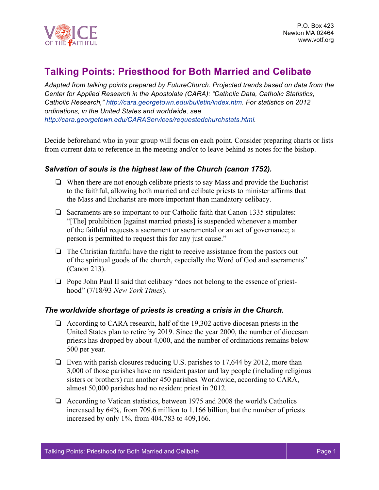

# **Talking Points: Priesthood for Both Married and Celibate**

*Adapted from talking points prepared by FutureChurch. Projected trends based on data from the Center for Applied Research in the Apostolate (CARA): "Catholic Data, Catholic Statistics, Catholic Research," http://cara.georgetown.edu/bulletin/index.htm. For statistics on 2012 ordinations, in the United States and worldwide, see http://cara.georgetown.edu/CARAServices/requestedchurchstats.html.*

Decide beforehand who in your group will focus on each point. Consider preparing charts or lists from current data to reference in the meeting and/or to leave behind as notes for the bishop.

## *Salvation of souls is the highest law of the Church (canon 1752).*

- ❏ When there are not enough celibate priests to say Mass and provide the Eucharist to the faithful, allowing both married and celibate priests to minister affirms that the Mass and Eucharist are more important than mandatory celibacy.
- ❏ Sacraments are so important to our Catholic faith that Canon 1335 stipulates: "[The] prohibition [against married priests] is suspended whenever a member of the faithful requests a sacrament or sacramental or an act of governance; a person is permitted to request this for any just cause."
- ❏ The Christian faithful have the right to receive assistance from the pastors out of the spiritual goods of the church, especially the Word of God and sacraments" (Canon 213).
- ❏ Pope John Paul II said that celibacy "does not belong to the essence of priesthood" (7/18/93 *New York Times*).

#### *The worldwide shortage of priests is creating a crisis in the Church.*

- ❏ According to CARA research, half of the 19,302 active diocesan priests in the United States plan to retire by 2019. Since the year 2000, the number of diocesan priests has dropped by about 4,000, and the number of ordinations remains below 500 per year.
- ❏ Even with parish closures reducing U.S. parishes to 17,644 by 2012, more than 3,000 of those parishes have no resident pastor and lay people (including religious sisters or brothers) run another 450 parishes. Worldwide, according to CARA, almost 50,000 parishes had no resident priest in 2012.
- ❏ According to Vatican statistics, between 1975 and 2008 the world's Catholics increased by 64%, from 709.6 million to 1.166 billion, but the number of priests increased by only 1%, from 404,783 to 409,166.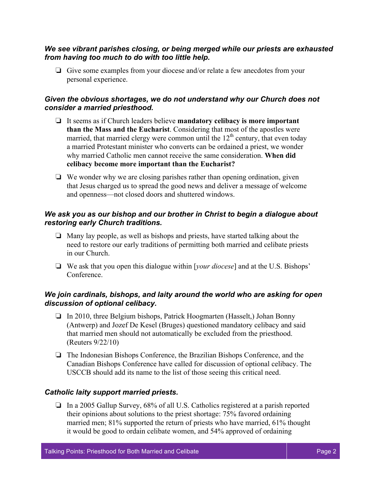#### *We see vibrant parishes closing, or being merged while our priests are exhausted from having too much to do with too little help.*

❏ Give some examples from your diocese and/or relate a few anecdotes from your personal experience.

## *Given the obvious shortages, we do not understand why our Church does not consider a married priesthood.*

- ❏ It seems as if Church leaders believe **mandatory celibacy is more important than the Mass and the Eucharist**. Considering that most of the apostles were married, that married clergy were common until the  $12<sup>th</sup>$  century, that even today a married Protestant minister who converts can be ordained a priest, we wonder why married Catholic men cannot receive the same consideration. **When did celibacy become more important than the Eucharist?**
- ❏ We wonder why we are closing parishes rather than opening ordination, given that Jesus charged us to spread the good news and deliver a message of welcome and openness—not closed doors and shuttered windows.

# *We ask you as our bishop and our brother in Christ to begin a dialogue about restoring early Church traditions.*

- ❏ Many lay people, as well as bishops and priests, have started talking about the need to restore our early traditions of permitting both married and celibate priests in our Church.
- ❏ We ask that you open this dialogue within [*your diocese*] and at the U.S. Bishops' Conference.

# *We join cardinals, bishops, and laity around the world who are asking for open discussion of optional celibacy.*

- ❏ In 2010, three Belgium bishops, Patrick Hoogmarten (Hasselt,) Johan Bonny (Antwerp) and Jozef De Kesel (Bruges) questioned mandatory celibacy and said that married men should not automatically be excluded from the priesthood. (Reuters 9/22/10)
- ❏ The Indonesian Bishops Conference, the Brazilian Bishops Conference, and the Canadian Bishops Conference have called for discussion of optional celibacy. The USCCB should add its name to the list of those seeing this critical need.

## *Catholic laity support married priests.*

❏ In a 2005 Gallup Survey, 68% of all U.S. Catholics registered at a parish reported their opinions about solutions to the priest shortage: 75% favored ordaining married men; 81% supported the return of priests who have married, 61% thought it would be good to ordain celibate women, and 54% approved of ordaining